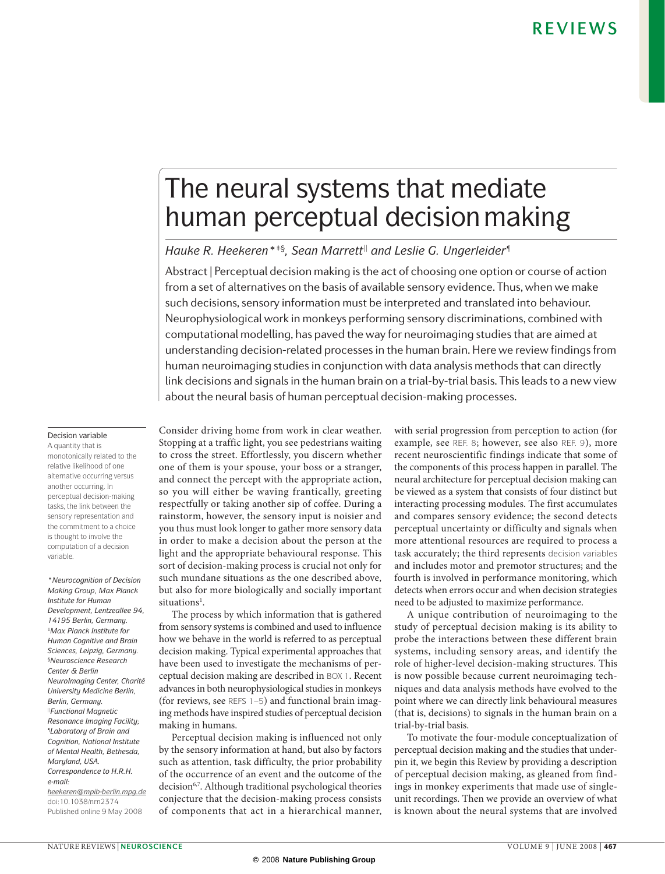# The neural systems that mediate human perceptual decisionmaking

*Hauke R. Heekeren\*<sup>‡§</sup>, Sean Marrett<sup>||</sup> and Leslie G. Ungerleider<sup>¶</sup>* 

Abstract | Perceptual decision making is the act of choosing one option or course of action from a set of alternatives on the basis of available sensory evidence. Thus, when we make such decisions, sensory information must be interpreted and translated into behaviour. Neurophysiological work in monkeys performing sensory discriminations, combined with computational modelling, has paved the way for neuroimaging studies that are aimed at understanding decision-related processes in the human brain. Here we review findings from human neuroimaging studies in conjunction with data analysis methods that can directly link decisions and signals in the human brain on a trial-by-trial basis. This leads to a new view about the neural basis of human perceptual decision-making processes.

#### Decision variable

A quantity that is monotonically related to the relative likelihood of one alternative occurring versus another occurring. In perceptual decision-making tasks, the link between the sensory representation and the commitment to a choice is thought to involve the computation of a decision variable.

*\*Neurocognition of Decision Making Group, Max Planck Institute for Human Development, Lentzeallee 94, 14195 Berlin, Germany. ‡Max Planck Institute for Human Cognitive and Brain Sciences, Leipzig, Germany. §Neuroscience Research Center & Berlin NeuroImaging Center, Charité University Medicine Berlin, Berlin, Germany. ||Functional Magnetic Resonance Imaging Facility; ¶Laboratory of Brain and Cognition, National Institute of Mental Health, Bethesda, Maryland, USA. Correspondence to H.R.H. e-mail: [heekeren@mpib-berlin.mpg.de](mailto:heekeren@mpib-berlin.mpg.de)* doi:10.1038/nrn2374 Published online 9 May 2008

Consider driving home from work in clear weather. Stopping at a traffic light, you see pedestrians waiting to cross the street. Effortlessly, you discern whether one of them is your spouse, your boss or a stranger, and connect the percept with the appropriate action, so you will either be waving frantically, greeting respectfully or taking another sip of coffee. During a rainstorm, however, the sensory input is noisier and you thus must look longer to gather more sensory data in order to make a decision about the person at the light and the appropriate behavioural response. This sort of decision-making process is crucial not only for such mundane situations as the one described above, but also for more biologically and socially important situations<sup>1</sup>.

The process by which information that is gathered from sensory systems is combined and used to influence how we behave in the world is referred to as perceptual decision making. Typical experimental approaches that have been used to investigate the mechanisms of perceptual decision making are described in BOX 1. Recent advances in both neurophysiological studies in monkeys (for reviews, see REFS 1–5) and functional brain imaging methods have inspired studies of perceptual decision making in humans.

Perceptual decision making is influenced not only by the sensory information at hand, but also by factors such as attention, task difficulty, the prior probability of the occurrence of an event and the outcome of the decision<sup>6,7</sup>. Although traditional psychological theories conjecture that the decision-making process consists of components that act in a hierarchical manner, with serial progression from perception to action (for example, see REF. 8; however, see also REF. 9), more recent neuroscientific findings indicate that some of the components of this process happen in parallel. The neural architecture for perceptual decision making can be viewed as a system that consists of four distinct but interacting processing modules. The first accumulates and compares sensory evidence; the second detects perceptual uncertainty or difficulty and signals when more attentional resources are required to process a task accurately; the third represents decision variables and includes motor and premotor structures; and the fourth is involved in performance monitoring, which detects when errors occur and when decision strategies need to be adjusted to maximize performance.

A unique contribution of neuroimaging to the study of perceptual decision making is its ability to probe the interactions between these different brain systems, including sensory areas, and identify the role of higher-level decision-making structures. This is now possible because current neuroimaging techniques and data analysis methods have evolved to the point where we can directly link behavioural measures (that is, decisions) to signals in the human brain on a trial-by-trial basis.

To motivate the four-module conceptualization of perceptual decision making and the studies that underpin it, we begin this Review by providing a description of perceptual decision making, as gleaned from findings in monkey experiments that made use of singleunit recordings. Then we provide an overview of what is known about the neural systems that are involved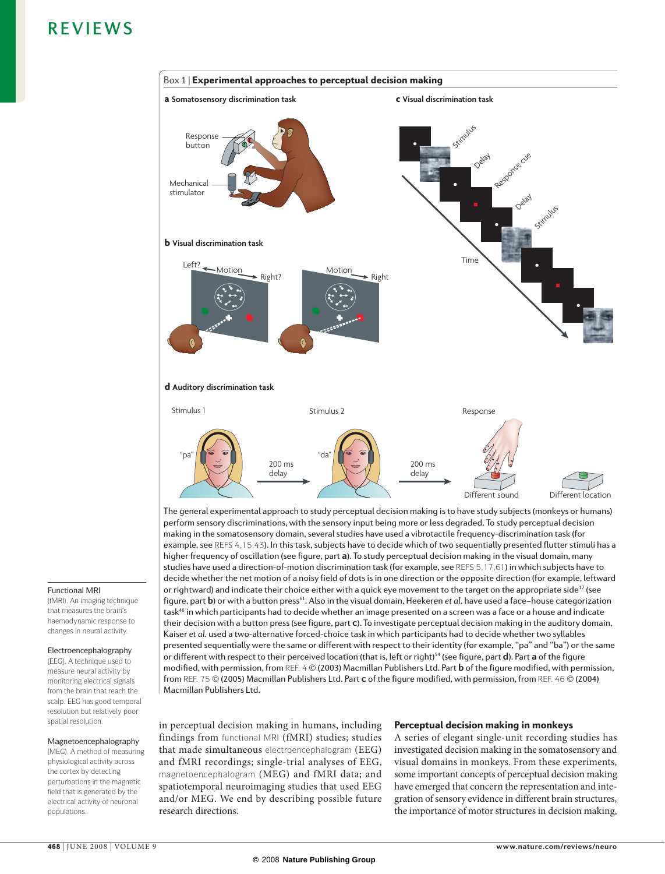

.<br>making in the somatosensory domain, several studies have used a vibrotactile frequency-discrimination task (for The general experimental approach to study perceptual decision making is to have study subjects (monkeys or humans) perform sensory discriminations, with the sensory input being more or less degraded. To study perceptual decision example, see REFS 4, 15, 43). In this task, subjects have to decide which of two sequentially presented flutter stimuli has a higher frequency of oscillation (see figure, part **a**). To study perceptual decision making in the visual domain, many studies have used a direction-of-motion discrimination task (for example, see REFS 5,17,61) in which subjects have to decide whether the net motion of a noisy field of dots is in one direction or the opposite direction (for example, leftward or rightward) and indicate their choice either with a quick eye movement to the target on the appropriate side<sup>17</sup> (see figure, part **b**) or with a button press<sup>61</sup>. Also in the visual domain, Heekeren *et al.* have used a face-house categorization task<sup>46</sup> in which participants had to decide whether an image presented on a screen was a face or a house and indicate their decision with a button press (see figure, part **c**). To investigate perceptual decision making in the auditory domain, Kaiser *et al.* used a two-alternative forced-choice task in which participants had to decide whether two syllables presented sequentially were the same or different with respect to their identity (for example, "pa" and "ba") or the same or different with respect to their perceived location (that is, left or right)54 (see figure, part **d**). Part **a** of the figure modified, with permission, from REF. 4 © (2003) Macmillan Publishers Ltd. Part **b** of the figure modified, with permission, from REF. 75 (2005) Macmillan Publishers Ltd. Part **c** of the figure modified, with permission, from REF. 46 (2004) Macmillan Publishers Ltd.

in perceptual decision making in humans, including findings from functional MRI (fMRI) studies; studies that made simultaneous electroencephalogram (EEG) and fMRI recordings; single-trial analyses of EEG, magnetoencephalogram (MEG) and fMRI data; and spatiotemporal neuroimaging studies that used EEG and/or MEG. We end by describing possible future research directions.

#### Perceptual decision making in monkeys

A series of elegant single-unit recording studies has investigated decision making in the somatosensory and visual domains in monkeys. From these experiments, some important concepts of perceptual decision making have emerged that concern the representation and integration of sensory evidence in different brain structures, the importance of motor structures in decision making,

#### Functional MRI

(fMRI). An imaging technique that measures the brain's haemodynamic response to changes in neural activity.

#### Electroencephalography

(EEG). A technique used to measure neural activity by monitoring electrical signals from the brain that reach the scalp. EEG has good temporal resolution but relatively poor spatial resolution.

### Magnetoencephalography

(MEG). A method of measuring physiological activity across the cortex by detecting perturbations in the magnetic field that is generated by the electrical activity of neuronal populations.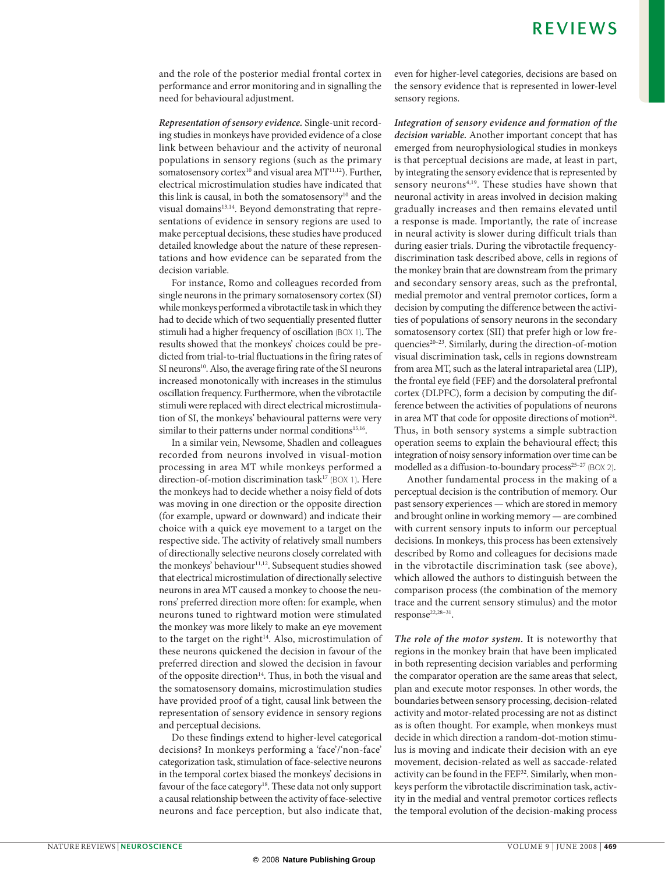and the role of the posterior medial frontal cortex in performance and error monitoring and in signalling the need for behavioural adjustment.

*Representation of sensory evidence.* Single-unit recording studies in monkeys have provided evidence of a close link between behaviour and the activity of neuronal populations in sensory regions (such as the primary somatosensory cortex<sup>10</sup> and visual area MT<sup>11,12</sup>). Further, electrical microstimulation studies have indicated that this link is causal, in both the somatosensory<sup>10</sup> and the visual domains<sup>13,14</sup>. Beyond demonstrating that representations of evidence in sensory regions are used to make perceptual decisions, these studies have produced detailed knowledge about the nature of these representations and how evidence can be separated from the decision variable.

For instance, Romo and colleagues recorded from single neurons in the primary somatosensory cortex (SI) while monkeys performed a vibrotactile task in which they had to decide which of two sequentially presented flutter stimuli had a higher frequency of oscillation (BOX 1). The results showed that the monkeys' choices could be predicted from trial-to-trial fluctuations in the firing rates of SI neurons<sup>10</sup>. Also, the average firing rate of the SI neurons increased monotonically with increases in the stimulus oscillation frequency. Furthermore, when the vibrotactile stimuli were replaced with direct electrical microstimulation of SI, the monkeys' behavioural patterns were very similar to their patterns under normal conditions<sup>15,16</sup>.

In a similar vein, Newsome, Shadlen and colleagues recorded from neurons involved in visual-motion processing in area MT while monkeys performed a direction-of-motion discrimination task<sup>17</sup> (BOX 1). Here the monkeys had to decide whether a noisy field of dots was moving in one direction or the opposite direction (for example, upward or downward) and indicate their choice with a quick eye movement to a target on the respective side. The activity of relatively small numbers of directionally selective neurons closely correlated with the monkeys' behaviour<sup>11,12</sup>. Subsequent studies showed that electrical microstimulation of directionally selective neurons in area MT caused a monkey to choose the neurons' preferred direction more often: for example, when neurons tuned to rightward motion were stimulated the monkey was more likely to make an eye movement to the target on the right $14$ . Also, microstimulation of these neurons quickened the decision in favour of the preferred direction and slowed the decision in favour of the opposite direction<sup>14</sup>. Thus, in both the visual and the somatosensory domains, microstimulation studies have provided proof of a tight, causal link between the representation of sensory evidence in sensory regions and perceptual decisions.

Do these findings extend to higher-level categorical decisions? In monkeys performing a 'face'/'non-face' categorization task, stimulation of face-selective neurons in the temporal cortex biased the monkeys' decisions in favour of the face category<sup>18</sup>. These data not only support a causal relationship between the activity of face-selective neurons and face perception, but also indicate that, even for higher-level categories, decisions are based on the sensory evidence that is represented in lower-level sensory regions.

*Integration of sensory evidence and formation of the decision variable.* Another important concept that has emerged from neurophysiological studies in monkeys is that perceptual decisions are made, at least in part, by integrating the sensory evidence that is represented by sensory neurons<sup>4,19</sup>. These studies have shown that neuronal activity in areas involved in decision making gradually increases and then remains elevated until a response is made. Importantly, the rate of increase in neural activity is slower during difficult trials than during easier trials. During the vibrotactile frequencydiscrimination task described above, cells in regions of the monkey brain that are downstream from the primary and secondary sensory areas, such as the prefrontal, medial premotor and ventral premotor cortices, form a decision by computing the difference between the activities of populations of sensory neurons in the secondary somatosensory cortex (SII) that prefer high or low frequencies<sup>20–23</sup>. Similarly, during the direction-of-motion visual discrimination task, cells in regions downstream from area MT, such as the lateral intraparietal area (LIP), the frontal eye field (FEF) and the dorsolateral prefrontal cortex (DLPFC), form a decision by computing the difference between the activities of populations of neurons in area MT that code for opposite directions of motion<sup>24</sup>. Thus, in both sensory systems a simple subtraction operation seems to explain the behavioural effect; this integration of noisy sensory information over time can be modelled as a diffusion-to-boundary process<sup>25-27</sup> (BOX 2).

Another fundamental process in the making of a perceptual decision is the contribution of memory. Our past sensory experiences — which are stored in memory and brought online in working memory — are combined with current sensory inputs to inform our perceptual decisions. In monkeys, this process has been extensively described by Romo and colleagues for decisions made in the vibrotactile discrimination task (see above), which allowed the authors to distinguish between the comparison process (the combination of the memory trace and the current sensory stimulus) and the motor response<sup>22,28-31</sup>.

*The role of the motor system.* It is noteworthy that regions in the monkey brain that have been implicated in both representing decision variables and performing the comparator operation are the same areas that select, plan and execute motor responses. In other words, the boundaries between sensory processing, decision-related activity and motor-related processing are not as distinct as is often thought. For example, when monkeys must decide in which direction a random-dot-motion stimulus is moving and indicate their decision with an eye movement, decision-related as well as saccade-related activity can be found in the FEF<sup>32</sup>. Similarly, when monkeys perform the vibrotactile discrimination task, activity in the medial and ventral premotor cortices reflects the temporal evolution of the decision-making process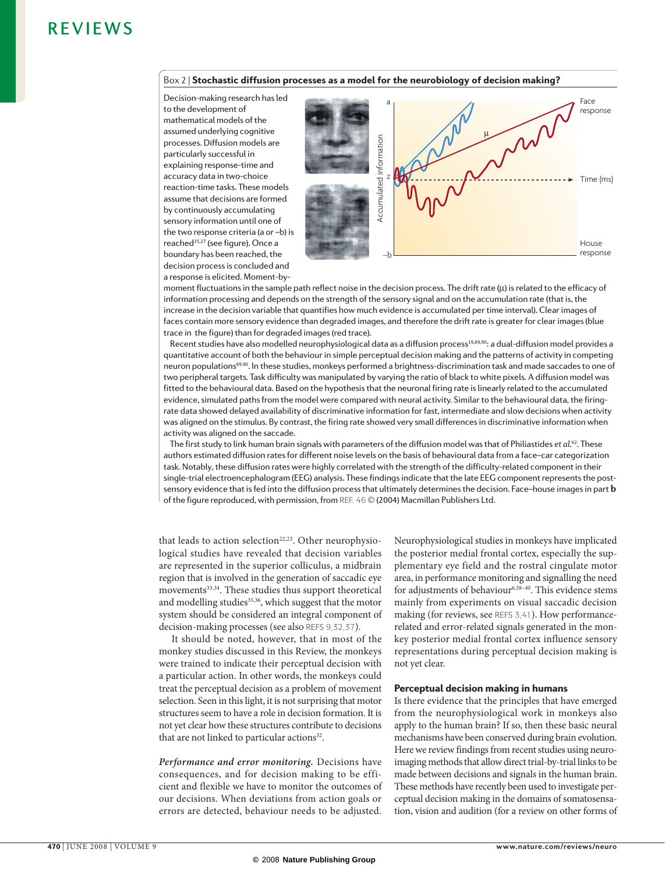

Decision-making research has led to the development of mathematical models of the assumed underlying cognitive processes. Diffusion models are particularly successful in explaining response-time and accuracy data in two-choice reaction-time tasks. These models assume that decisions are formed by continuously accumulating sensory information until one of the two response criteria (a or –b) is reached<sup>25,27</sup> (see figure). Once a boundary has been reached, the decision process is concluded and a response is elicited. Moment-by-



moment fluctuations in the sample path reflect noise in the decision process. The drift rate (µ) is related to the efficacy of information processing and depends on the strength of the sensory signal and on the accumulation rate (that is, the increase in the decision variable that quantifies how much evidence is accumulated per time interval). Clear images of faces contain more sensory evidence than degraded images, and therefore the drift rate is greater for clear images (blue trace in the figure) than for degraded images (red trace).

Recent studies have also modelled neurophysiological data as a diffusion process<sup>19,89,90</sup>: a dual-diffusion model provides a quantitative account of both the behaviour in simple perceptual decision making and the patterns of activity in competing neuron populations<sup>89,90</sup>. In these studies, monkeys performed a brightness-discrimination task and made saccades to one of two peripheral targets. Task difficulty was manipulated by varying the ratio of black to white pixels. A diffusion model was fitted to the behavioural data. Based on the hypothesis that the neuronal firing rate is linearly related to the accumulated evidence, simulated paths from the model were compared with neural activity. Similar to the behavioural data, the firingrate data showed delayed availability of discriminative information for fast, intermediate and slow decisions when activity was aligned on the stimulus. By contrast, the firing rate showed very small differences in discriminative information when activity was aligned on the saccade.

The first study to link human brain signals with parameters of the diffusion model was that of Philiastides *et al.*62. These authors estimated diffusion rates for different noise levels on the basis of behavioural data from a face–car categorization task. Notably, these diffusion rates were highly correlated with the strength of the difficulty-related component in their single-trial electroencephalogram (EEG) analysis. These findings indicate that the late EEG component represents the postsensory evidence that is fed into the diffusion process that ultimately determines the decision. Face–house images in part **b** of the figure reproduced, with permission, from REF. 46 © (2004) Macmillan Publishers Ltd.

that leads to action selection<sup>22,23</sup>. Other neurophysiological studies have revealed that decision variables are represented in the superior colliculus, a midbrain region that is involved in the generation of saccadic eye movements<sup>33,34</sup>. These studies thus support theoretical and modelling studies<sup>35,36</sup>, which suggest that the motor system should be considered an integral component of decision-making processes (see also REFS 9,32,37).

It should be noted, however, that in most of the monkey studies discussed in this Review, the monkeys were trained to indicate their perceptual decision with a particular action. In other words, the monkeys could treat the perceptual decision as a problem of movement selection. Seen in this light, it is not surprising that motor structures seem to have a role in decision formation. It is not yet clear how these structures contribute to decisions that are not linked to particular actions<sup>32</sup>.

*Performance and error monitoring.* Decisions have consequences, and for decision making to be efficient and flexible we have to monitor the outcomes of our decisions. When deviations from action goals or errors are detected, behaviour needs to be adjusted.

Neurophysiological studies in monkeys have implicated the posterior medial frontal cortex, especially the supplementary eye field and the rostral cingulate motor area, in performance monitoring and signalling the need for adjustments of behaviour<sup>6,38-40</sup>. This evidence stems mainly from experiments on visual saccadic decision making (for reviews, see REFS 3,41). How performancerelated and error-related signals generated in the monkey posterior medial frontal cortex influence sensory representations during perceptual decision making is not yet clear.

### Perceptual decision making in humans

Is there evidence that the principles that have emerged from the neurophysiological work in monkeys also apply to the human brain? If so, then these basic neural mechanisms have been conserved during brain evolution. Here we review findings from recent studies using neuroimaging methods that allow direct trial-by-trial links to be made between decisions and signals in the human brain. These methods have recently been used to investigate perceptual decision making in the domains of somatosensation, vision and audition (for a review on other forms of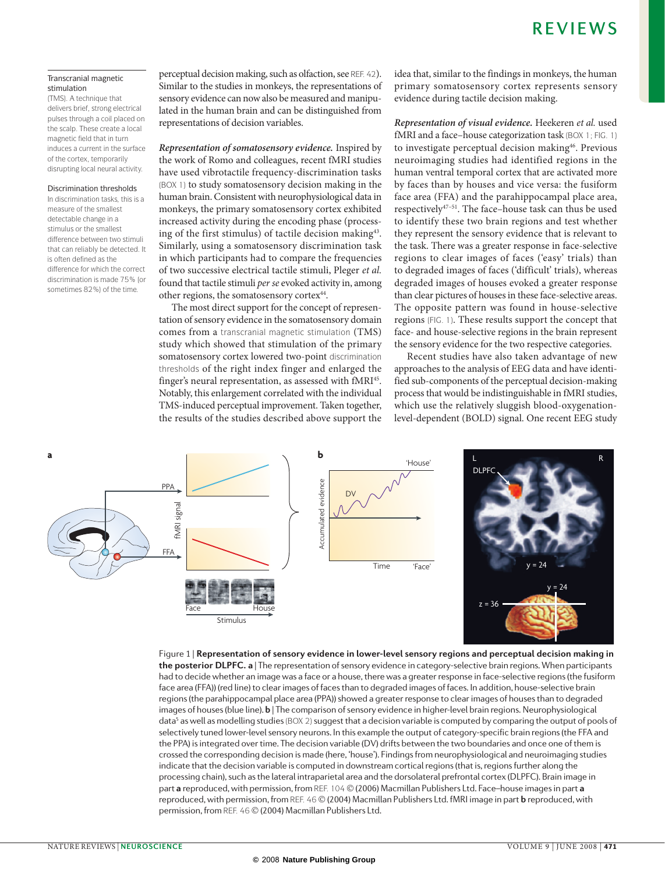### Transcranial magnetic stimulation

(TMS). A technique that delivers brief, strong electrical pulses through a coil placed on the scalp. These create a local magnetic field that in turn induces a current in the surface of the cortex, temporarily disrupting local neural activity.

#### Discrimination thresholds

In discrimination tasks, this is a measure of the smallest detectable change in a stimulus or the smallest difference between two stimuli that can reliably be detected. It is often defined as the difference for which the correct discrimination is made 75% (or sometimes 82%) of the time.

perceptual decision making, such as olfaction, see REF. 42). Similar to the studies in monkeys, the representations of sensory evidence can now also be measured and manipulated in the human brain and can be distinguished from representations of decision variables.

*Representation of somatosensory evidence.* Inspired by the work of Romo and colleagues, recent fMRI studies have used vibrotactile frequency-discrimination tasks (BOX 1) to study somatosensory decision making in the human brain. Consistent with neurophysiological data in monkeys, the primary somatosensory cortex exhibited increased activity during the encoding phase (processing of the first stimulus) of tactile decision making<sup>43</sup>. Similarly, using a somatosensory discrimination task in which participants had to compare the frequencies of two successive electrical tactile stimuli, Pleger *et al.* found that tactile stimuli *per se* evoked activity in, among other regions, the somatosensory cortex<sup>44</sup>.

The most direct support for the concept of representation of sensory evidence in the somatosensory domain comes from a transcranial magnetic stimulation (TMS) study which showed that stimulation of the primary somatosensory cortex lowered two-point discrimination thresholds of the right index finger and enlarged the finger's neural representation, as assessed with fMRI<sup>45</sup>. Notably, this enlargement correlated with the individual TMS-induced perceptual improvement. Taken together, the results of the studies described above support the idea that, similar to the findings in monkeys, the human primary somatosensory cortex represents sensory evidence during tactile decision making.

*Representation of visual evidence.* Heekeren *et al.* used fMRI and a face–house categorization task (BOX 1; FIG. 1) to investigate perceptual decision making<sup>46</sup>. Previous neuroimaging studies had identified regions in the human ventral temporal cortex that are activated more by faces than by houses and vice versa: the fusiform face area (FFA) and the parahippocampal place area, respectively47–51. The face–house task can thus be used to identify these two brain regions and test whether they represent the sensory evidence that is relevant to the task. There was a greater response in face-selective regions to clear images of faces ('easy' trials) than to degraded images of faces ('difficult' trials), whereas degraded images of houses evoked a greater response than clear pictures of houses in these face-selective areas. The opposite pattern was found in house-selective regions (FIG. 1). These results support the concept that face- and house-selective regions in the brain represent the sensory evidence for the two respective categories.

Recent studies have also taken advantage of new approaches to the analysis of EEG data and have identified sub-components of the perceptual decision-making process that would be indistinguishable in fMRI studies, which use the relatively sluggish blood-oxygenationlevel-dependent (BOLD) signal. One recent EEG study



**Nature Reviews** | **Neuroscience the posterior DLPFC. a** | The representation of sensory evidence in category-selective brain regions. When participants Figure 1 | **Representation of sensory evidence in lower-level sensory regions and perceptual decision making in** had to decide whether an image was a face or a house, there was a greater response in face-selective regions (the fusiform face area (FFA)) (red line) to clear images of faces than to degraded images of faces. In addition, house-selective brain regions (the parahippocampal place area (PPA)) showed a greater response to clear images of houses than to degraded images of houses (blue line). **b** | The comparison of sensory evidence in higher-level brain regions. Neurophysiological data<sup>5</sup> as well as modelling studies (BOX 2) suggest that a decision variable is computed by comparing the output of pools of selectively tuned lower-level sensory neurons. In this example the output of category-specific brain regions (the FFA and the PPA) is integrated over time. The decision variable (DV) drifts between the two boundaries and once one of them is crossed the corresponding decision is made (here, 'house'). Findings from neurophysiological and neuroimaging studies indicate that the decision variable is computed in downstream cortical regions (that is, regions further along the processing chain), such as the lateral intraparietal area and the dorsolateral prefrontal cortex (DLPFC). Brain image in part **a** reproduced, with permission, from REF. 104 © (2006) Macmillan Publishers Ltd. Face–house images in part **a** reproduced, with permission, from REF. 46 © (2004) Macmillan Publishers Ltd. fMRI image in part **b** reproduced, with permission, from REF. 46 © (2004) Macmillan Publishers Ltd.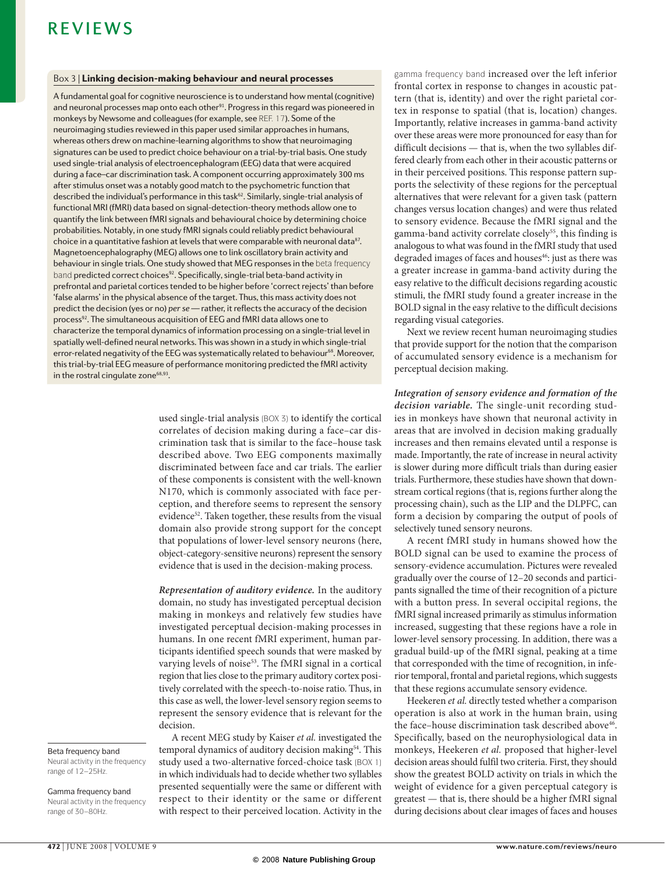# Box 3 | Linking decision-making behaviour and neural processes

A fundamental goal for cognitive neuroscience is to understand how mental (cognitive) and neuronal processes map onto each other<sup>91</sup>. Progress in this regard was pioneered in monkeys by Newsome and colleagues (for example, see REF. 17). Some of the neuroimaging studies reviewed in this paper used similar approaches in humans, whereas others drew on machine-learning algorithms to show that neuroimaging signatures can be used to predict choice behaviour on a trial-by-trial basis. One study used single-trial analysis of electroencephalogram (EEG) data that were acquired during a face–car discrimination task. A component occurring approximately 300 ms after stimulus onset was a notably good match to the psychometric function that described the individual's performance in this task<sup>62</sup>. Similarly, single-trial analysis of functional MRI (fMRI) data based on signal-detection-theory methods allow one to quantify the link between fMRI signals and behavioural choice by determining choice probabilities. Notably, in one study fMRI signals could reliably predict behavioural choice in a quantitative fashion at levels that were comparable with neuronal data<sup>87</sup>. Magnetoencephalography (MEG) allows one to link oscillatory brain activity and behaviour in single trials. One study showed that MEG responses in the beta frequency band predicted correct choices<sup>92</sup>. Specifically, single-trial beta-band activity in prefrontal and parietal cortices tended to be higher before 'correct rejects' than before 'false alarms' in the physical absence of the target. Thus, this mass activity does not predict the decision (yes or no) *per se—* rather, it reflects the accuracy of the decision process<sup>92</sup>. The simultaneous acquisition of EEG and fMRI data allows one to characterize the temporal dynamics of information processing on a single-trial level in spatially well-defined neural networks. This was shown in a study in which single-trial error-related negativity of the EEG was systematically related to behaviour<sup>68</sup>. Moreover, this trial-by-trial EEG measure of performance monitoring predicted the fMRI activity in the rostral cingulate zone<sup>68,93</sup>.

> used single-trial analysis (BOX 3) to identify the cortical correlates of decision making during a face–car discrimination task that is similar to the face–house task described above. Two EEG components maximally discriminated between face and car trials. The earlier of these components is consistent with the well-known N170, which is commonly associated with face perception, and therefore seems to represent the sensory evidence<sup>52</sup>. Taken together, these results from the visual domain also provide strong support for the concept that populations of lower-level sensory neurons (here, object-category-sensitive neurons) represent the sensory evidence that is used in the decision-making process.

> *Representation of auditory evidence.* In the auditory domain, no study has investigated perceptual decision making in monkeys and relatively few studies have investigated perceptual decision-making processes in humans. In one recent fMRI experiment, human participants identified speech sounds that were masked by varying levels of noise<sup>53</sup>. The fMRI signal in a cortical region that lies close to the primary auditory cortex positively correlated with the speech-to-noise ratio. Thus, in this case as well, the lower-level sensory region seems to represent the sensory evidence that is relevant for the decision.

> A recent MEG study by Kaiser *et al.* investigated the temporal dynamics of auditory decision making<sup>54</sup>. This study used a two-alternative forced-choice task (BOX 1) in which individuals had to decide whether two syllables presented sequentially were the same or different with respect to their identity or the same or different with respect to their perceived location. Activity in the

gamma frequency band increased over the left inferior frontal cortex in response to changes in acoustic pattern (that is, identity) and over the right parietal cortex in response to spatial (that is, location) changes. Importantly, relative increases in gamma-band activity over these areas were more pronounced for easy than for difficult decisions — that is, when the two syllables differed clearly from each other in their acoustic patterns or in their perceived positions. This response pattern supports the selectivity of these regions for the perceptual alternatives that were relevant for a given task (pattern changes versus location changes) and were thus related to sensory evidence. Because the fMRI signal and the gamma-band activity correlate closely<sup>55</sup>, this finding is analogous to what was found in the fMRI study that used degraded images of faces and houses<sup>46</sup>: just as there was a greater increase in gamma-band activity during the easy relative to the difficult decisions regarding acoustic stimuli, the fMRI study found a greater increase in the BOLD signal in the easy relative to the difficult decisions regarding visual categories.

Next we review recent human neuroimaging studies that provide support for the notion that the comparison of accumulated sensory evidence is a mechanism for perceptual decision making.

*Integration of sensory evidence and formation of the decision variable.* The single-unit recording studies in monkeys have shown that neuronal activity in areas that are involved in decision making gradually increases and then remains elevated until a response is made. Importantly, the rate of increase in neural activity is slower during more difficult trials than during easier trials. Furthermore, these studies have shown that downstream cortical regions (that is, regions further along the processing chain), such as the LIP and the DLPFC, can form a decision by comparing the output of pools of selectively tuned sensory neurons.

A recent fMRI study in humans showed how the BOLD signal can be used to examine the process of sensory-evidence accumulation. Pictures were revealed gradually over the course of 12–20 seconds and participants signalled the time of their recognition of a picture with a button press. In several occipital regions, the fMRI signal increased primarily as stimulus information increased, suggesting that these regions have a role in lower-level sensory processing. In addition, there was a gradual build-up of the fMRI signal, peaking at a time that corresponded with the time of recognition, in inferior temporal, frontal and parietal regions, which suggests that these regions accumulate sensory evidence.

Heekeren *et al.* directly tested whether a comparison operation is also at work in the human brain, using the face–house discrimination task described above<sup>46</sup>. Specifically, based on the neurophysiological data in monkeys, Heekeren *et al.* proposed that higher-level decision areas should fulfil two criteria. First, they should show the greatest BOLD activity on trials in which the weight of evidence for a given perceptual category is greatest — that is, there should be a higher fMRI signal during decisions about clear images of faces and houses

### Beta frequency band

Neural activity in the frequency range of 12–25Hz.

Gamma frequency band Neural activity in the frequency range of 30–80Hz.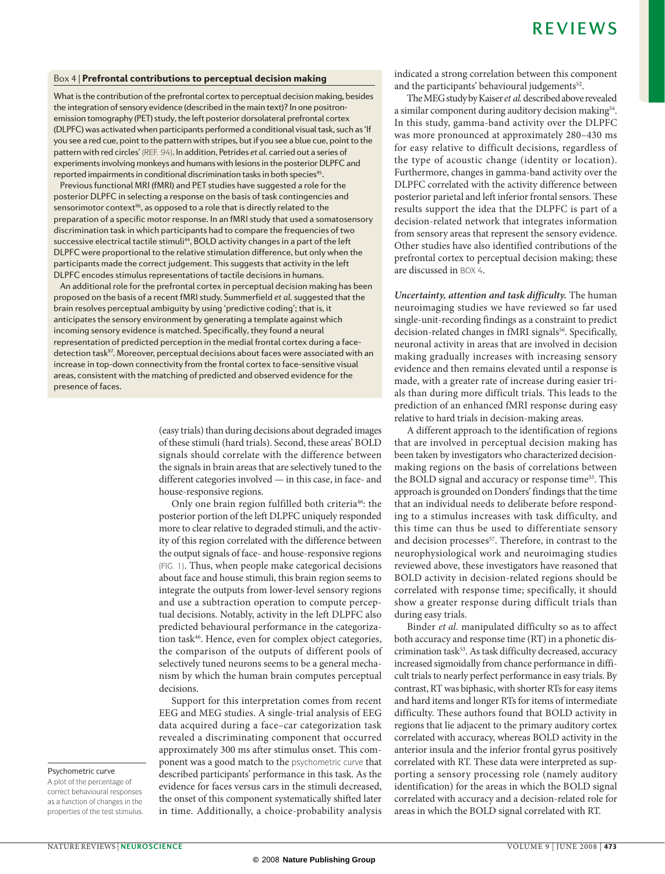### Box 4 | Prefrontal contributions to perceptual decision making

What is the contribution of the prefrontal cortex to perceptual decision making, besides the integration of sensory evidence (described in the main text)? In one positronemission tomography (PET) study, the left posterior dorsolateral prefrontal cortex (DLPFC) was activated when participants performed a conditional visual task, such as 'If you see a red cue, point to the pattern with stripes, but if you see a blue cue, point to the pattern with red circles' (Ref. 94). In addition, Petrides *et al.* carried out a series of experiments involving monkeys and humans with lesions in the posterior DLPFC and reported impairments in conditional discrimination tasks in both species<sup>95</sup>.

Previous functional MRI (fMRI) and PET studies have suggested a role for the posterior DLPFC in selecting a response on the basis of task contingencies and sensorimotor context<sup>96</sup>, as opposed to a role that is directly related to the preparation of a specific motor response. In an fMRI study that used a somatosensory discrimination task in which participants had to compare the frequencies of two successive electrical tactile stimuli<sup>44</sup>, BOLD activity changes in a part of the left DLPFC were proportional to the relative stimulation difference, but only when the participants made the correct judgement. This suggests that activity in the left DLPFC encodes stimulus representations of tactile decisions in humans.

An additional role for the prefrontal cortex in perceptual decision making has been proposed on the basis of a recent fMRI study. Summerfield *et al.* suggested that the brain resolves perceptual ambiguity by using 'predictive coding'; that is, it anticipates the sensory environment by generating a template against which incoming sensory evidence is matched. Specifically, they found a neural representation of predicted perception in the medial frontal cortex during a facedetection task<sup>97</sup>. Moreover, perceptual decisions about faces were associated with an increase in top-down connectivity from the frontal cortex to face-sensitive visual areas, consistent with the matching of predicted and observed evidence for the presence of faces.

> (easy trials) than during decisions about degraded images of these stimuli (hard trials). Second, these areas' BOLD signals should correlate with the difference between the signals in brain areas that are selectively tuned to the different categories involved — in this case, in face- and house-responsive regions.

> Only one brain region fulfilled both criteria<sup>46</sup>: the posterior portion of the left DLPFC uniquely responded more to clear relative to degraded stimuli, and the activity of this region correlated with the difference between the output signals of face- and house-responsive regions (FIG. 1). Thus, when people make categorical decisions about face and house stimuli, this brain region seems to integrate the outputs from lower-level sensory regions and use a subtraction operation to compute perceptual decisions. Notably, activity in the left DLPFC also predicted behavioural performance in the categorization task<sup>46</sup>. Hence, even for complex object categories, the comparison of the outputs of different pools of selectively tuned neurons seems to be a general mechanism by which the human brain computes perceptual decisions.

> Support for this interpretation comes from recent EEG and MEG studies. A single-trial analysis of EEG data acquired during a face–car categorization task revealed a discriminating component that occurred approximately 300 ms after stimulus onset. This component was a good match to the psychometric curve that described participants' performance in this task. As the evidence for faces versus cars in the stimuli decreased, the onset of this component systematically shifted later in time. Additionally, a choice-probability analysis

indicated a strong correlation between this component and the participants' behavioural judgements<sup>52</sup>.

The MEG study by Kaiser *et al.* described above revealed a similar component during auditory decision making<sup>54</sup>. In this study, gamma-band activity over the DLPFC was more pronounced at approximately 280–430 ms for easy relative to difficult decisions, regardless of the type of acoustic change (identity or location). Furthermore, changes in gamma-band activity over the DLPFC correlated with the activity difference between posterior parietal and left inferior frontal sensors. These results support the idea that the DLPFC is part of a decision-related network that integrates information from sensory areas that represent the sensory evidence. Other studies have also identified contributions of the prefrontal cortex to perceptual decision making; these are discussed in BOX 4.

*Uncertainty, attention and task difficulty.* The human neuroimaging studies we have reviewed so far used single-unit-recording findings as a constraint to predict decision-related changes in fMRI signals<sup>56</sup>. Specifically, neuronal activity in areas that are involved in decision making gradually increases with increasing sensory evidence and then remains elevated until a response is made, with a greater rate of increase during easier trials than during more difficult trials. This leads to the prediction of an enhanced fMRI response during easy relative to hard trials in decision-making areas.

A different approach to the identification of regions that are involved in perceptual decision making has been taken by investigators who characterized decisionmaking regions on the basis of correlations between the BOLD signal and accuracy or response time<sup>53</sup>. This approach is grounded on Donders' findings that the time that an individual needs to deliberate before responding to a stimulus increases with task difficulty, and this time can thus be used to differentiate sensory and decision processes<sup>57</sup>. Therefore, in contrast to the neurophysiological work and neuroimaging studies reviewed above, these investigators have reasoned that BOLD activity in decision-related regions should be correlated with response time; specifically, it should show a greater response during difficult trials than during easy trials.

Binder *et al.* manipulated difficulty so as to affect both accuracy and response time (RT) in a phonetic discrimination task<sup>53</sup>. As task difficulty decreased, accuracy increased sigmoidally from chance performance in difficult trials to nearly perfect performance in easy trials. By contrast, RT was biphasic, with shorter RTs for easy items and hard items and longer RTs for items of intermediate difficulty. These authors found that BOLD activity in regions that lie adjacent to the primary auditory cortex correlated with accuracy, whereas BOLD activity in the anterior insula and the inferior frontal gyrus positively correlated with RT. These data were interpreted as supporting a sensory processing role (namely auditory identification) for the areas in which the BOLD signal correlated with accuracy and a decision-related role for areas in which the BOLD signal correlated with RT.

## Psychometric curve

A plot of the percentage of correct behavioural responses as a function of changes in the properties of the test stimulus.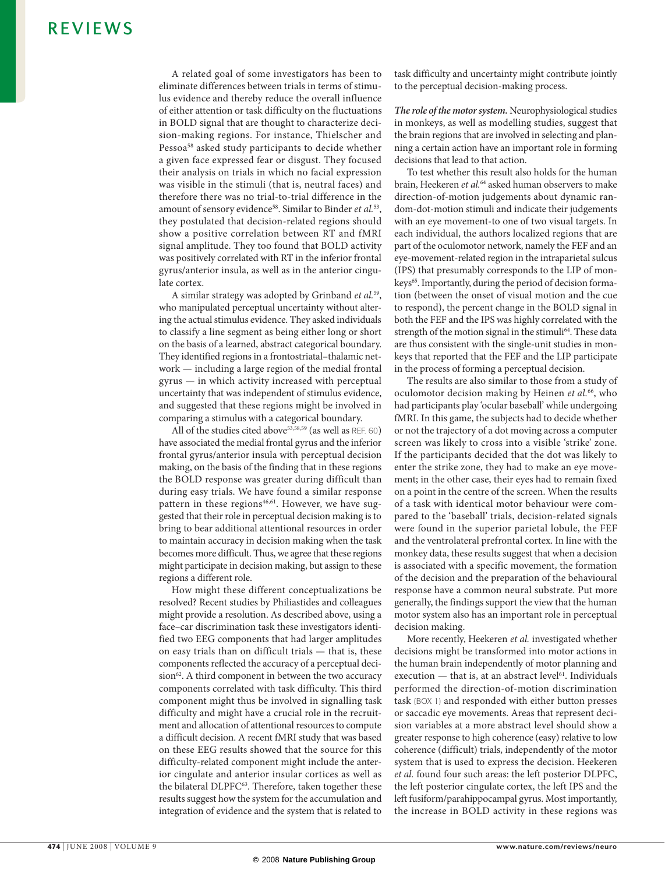A related goal of some investigators has been to eliminate differences between trials in terms of stimulus evidence and thereby reduce the overall influence of either attention or task difficulty on the fluctuations in BOLD signal that are thought to characterize decision-making regions. For instance, Thielscher and Pessoa<sup>58</sup> asked study participants to decide whether a given face expressed fear or disgust. They focused their analysis on trials in which no facial expression was visible in the stimuli (that is, neutral faces) and therefore there was no trial-to-trial difference in the amount of sensory evidence<sup>58</sup>. Similar to Binder *et al.*<sup>53</sup>, they postulated that decision-related regions should show a positive correlation between RT and fMRI signal amplitude. They too found that BOLD activity was positively correlated with RT in the inferior frontal gyrus/anterior insula, as well as in the anterior cingulate cortex.

A similar strategy was adopted by Grinband *et al.*59, who manipulated perceptual uncertainty without altering the actual stimulus evidence. They asked individuals to classify a line segment as being either long or short on the basis of a learned, abstract categorical boundary. They identified regions in a frontostriatal–thalamic network — including a large region of the medial frontal gyrus — in which activity increased with perceptual uncertainty that was independent of stimulus evidence, and suggested that these regions might be involved in comparing a stimulus with a categorical boundary.

All of the studies cited above<sup>53,58,59</sup> (as well as REF. 60) have associated the medial frontal gyrus and the inferior frontal gyrus/anterior insula with perceptual decision making, on the basis of the finding that in these regions the BOLD response was greater during difficult than during easy trials. We have found a similar response pattern in these regions<sup>46,61</sup>. However, we have suggested that their role in perceptual decision making is to bring to bear additional attentional resources in order to maintain accuracy in decision making when the task becomes more difficult. Thus, we agree that these regions might participate in decision making, but assign to these regions a different role.

How might these different conceptualizations be resolved? Recent studies by Philiastides and colleagues might provide a resolution. As described above, using a face–car discrimination task these investigators identified two EEG components that had larger amplitudes on easy trials than on difficult trials — that is, these components reflected the accuracy of a perceptual decision<sup>62</sup>. A third component in between the two accuracy components correlated with task difficulty. This third component might thus be involved in signalling task difficulty and might have a crucial role in the recruitment and allocation of attentional resources to compute a difficult decision. A recent fMRI study that was based on these EEG results showed that the source for this difficulty-related component might include the anterior cingulate and anterior insular cortices as well as the bilateral DLPFC<sup>63</sup>. Therefore, taken together these results suggest how the system for the accumulation and integration of evidence and the system that is related to task difficulty and uncertainty might contribute jointly to the perceptual decision-making process.

*The role of the motor system.* Neurophysiological studies in monkeys, as well as modelling studies, suggest that the brain regions that are involved in selecting and planning a certain action have an important role in forming decisions that lead to that action.

To test whether this result also holds for the human brain, Heekeren *et al.*64 asked human observers to make direction-of-motion judgements about dynamic random-dot-motion stimuli and indicate their judgements with an eye movement-to one of two visual targets. In each individual, the authors localized regions that are part of the oculomotor network, namely the FEF and an eye-movement-related region in the intraparietal sulcus (IPS) that presumably corresponds to the LIP of monkeys<sup>65</sup>. Importantly, during the period of decision formation (between the onset of visual motion and the cue to respond), the percent change in the BOLD signal in both the FEF and the IPS was highly correlated with the strength of the motion signal in the stimuli<sup>64</sup>. These data are thus consistent with the single-unit studies in monkeys that reported that the FEF and the LIP participate in the process of forming a perceptual decision.

The results are also similar to those from a study of oculomotor decision making by Heinen *et al.*66, who had participants play 'ocular baseball' while undergoing fMRI. In this game, the subjects had to decide whether or not the trajectory of a dot moving across a computer screen was likely to cross into a visible 'strike' zone. If the participants decided that the dot was likely to enter the strike zone, they had to make an eye movement; in the other case, their eyes had to remain fixed on a point in the centre of the screen. When the results of a task with identical motor behaviour were compared to the 'baseball' trials, decision-related signals were found in the superior parietal lobule, the FEF and the ventrolateral prefrontal cortex. In line with the monkey data, these results suggest that when a decision is associated with a specific movement, the formation of the decision and the preparation of the behavioural response have a common neural substrate. Put more generally, the findings support the view that the human motor system also has an important role in perceptual decision making.

More recently, Heekeren *et al.* investigated whether decisions might be transformed into motor actions in the human brain independently of motor planning and execution  $-$  that is, at an abstract level<sup>61</sup>. Individuals performed the direction-of-motion discrimination task (BOX 1) and responded with either button presses or saccadic eye movements. Areas that represent decision variables at a more abstract level should show a greater response to high coherence (easy) relative to low coherence (difficult) trials, independently of the motor system that is used to express the decision. Heekeren *et al.* found four such areas: the left posterior DLPFC, the left posterior cingulate cortex, the left IPS and the left fusiform/parahippocampal gyrus. Most importantly, the increase in BOLD activity in these regions was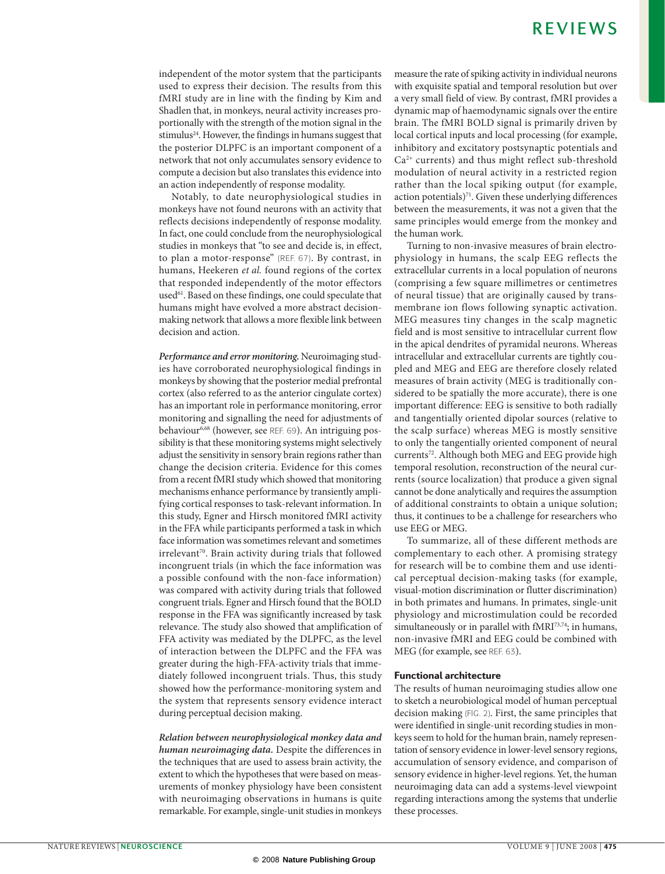independent of the motor system that the participants used to express their decision. The results from this fMRI study are in line with the finding by Kim and Shadlen that, in monkeys, neural activity increases proportionally with the strength of the motion signal in the stimulus<sup>24</sup>. However, the findings in humans suggest that the posterior DLPFC is an important component of a network that not only accumulates sensory evidence to compute a decision but also translates this evidence into an action independently of response modality.

Notably, to date neurophysiological studies in monkeys have not found neurons with an activity that reflects decisions independently of response modality. In fact, one could conclude from the neurophysiological studies in monkeys that "to see and decide is, in effect, to plan a motor-response" (Ref. 67). By contrast, in humans, Heekeren *et al.* found regions of the cortex that responded independently of the motor effectors used<sup>61</sup>. Based on these findings, one could speculate that humans might have evolved a more abstract decisionmaking network that allows a more flexible link between decision and action.

*Performance and error monitoring.* Neuroimaging studies have corroborated neurophysiological findings in monkeys by showing that the posterior medial prefrontal cortex (also referred to as the anterior cingulate cortex) has an important role in performance monitoring, error monitoring and signalling the need for adjustments of behaviour<sup>6,68</sup> (however, see REF. 69). An intriguing possibility is that these monitoring systems might selectively adjust the sensitivity in sensory brain regions rather than change the decision criteria. Evidence for this comes from a recent fMRI study which showed that monitoring mechanisms enhance performance by transiently amplifying cortical responses to task-relevant information. In this study, Egner and Hirsch monitored fMRI activity in the FFA while participants performed a task in which face information was sometimes relevant and sometimes irrelevant<sup>70</sup>. Brain activity during trials that followed incongruent trials (in which the face information was a possible confound with the non-face information) was compared with activity during trials that followed congruent trials. Egner and Hirsch found that the BOLD response in the FFA was significantly increased by task relevance. The study also showed that amplification of FFA activity was mediated by the DLPFC, as the level of interaction between the DLPFC and the FFA was greater during the high-FFA-activity trials that immediately followed incongruent trials. Thus, this study showed how the performance-monitoring system and the system that represents sensory evidence interact during perceptual decision making.

# *Relation between neurophysiological monkey data and human neuroimaging data.* Despite the differences in the techniques that are used to assess brain activity, the extent to which the hypotheses that were based on measurements of monkey physiology have been consistent with neuroimaging observations in humans is quite remarkable. For example, single-unit studies in monkeys

measure the rate of spiking activity in individual neurons with exquisite spatial and temporal resolution but over a very small field of view. By contrast, fMRI provides a dynamic map of haemodynamic signals over the entire brain. The fMRI BOLD signal is primarily driven by local cortical inputs and local processing (for example, inhibitory and excitatory postsynaptic potentials and  $Ca<sup>2+</sup> currents)$  and thus might reflect sub-threshold modulation of neural activity in a restricted region rather than the local spiking output (for example, action potentials) $71$ . Given these underlying differences between the measurements, it was not a given that the same principles would emerge from the monkey and the human work.

Turning to non-invasive measures of brain electrophysiology in humans, the scalp EEG reflects the extracellular currents in a local population of neurons (comprising a few square millimetres or centimetres of neural tissue) that are originally caused by transmembrane ion flows following synaptic activation. MEG measures tiny changes in the scalp magnetic field and is most sensitive to intracellular current flow in the apical dendrites of pyramidal neurons. Whereas intracellular and extracellular currents are tightly coupled and MEG and EEG are therefore closely related measures of brain activity (MEG is traditionally considered to be spatially the more accurate), there is one important difference: EEG is sensitive to both radially and tangentially oriented dipolar sources (relative to the scalp surface) whereas MEG is mostly sensitive to only the tangentially oriented component of neural currents<sup>72</sup>. Although both MEG and EEG provide high temporal resolution, reconstruction of the neural currents (source localization) that produce a given signal cannot be done analytically and requires the assumption of additional constraints to obtain a unique solution; thus, it continues to be a challenge for researchers who use EEG or MEG.

To summarize, all of these different methods are complementary to each other. A promising strategy for research will be to combine them and use identical perceptual decision-making tasks (for example, visual-motion discrimination or flutter discrimination) in both primates and humans. In primates, single-unit physiology and microstimulation could be recorded simultaneously or in parallel with fMRI<sup>73,74</sup>; in humans, non-invasive fMRI and EEG could be combined with MEG (for example, see REF. 63).

## Functional architecture

The results of human neuroimaging studies allow one to sketch a neurobiological model of human perceptual decision making (FIG. 2). First, the same principles that were identified in single-unit recording studies in monkeys seem to hold for the human brain, namely representation of sensory evidence in lower-level sensory regions, accumulation of sensory evidence, and comparison of sensory evidence in higher-level regions. Yet, the human neuroimaging data can add a systems-level viewpoint regarding interactions among the systems that underlie these processes.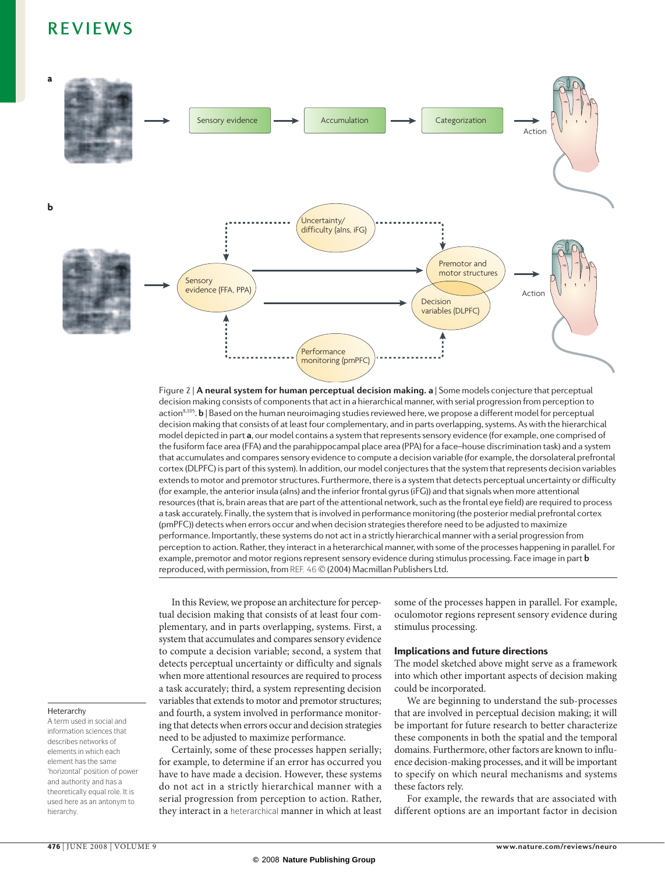

**Nature Reviews** | **Neuroscience** decision making consists of components that act in a hierarchical manner, with serial progression from perception to Figure 2 | **A neural system for human perceptual decision making. a** | Some models conjecture that perceptual action<sup>8,105</sup>. **b** | Based on the human neuroimaging studies reviewed here, we propose a different model for perceptual decision making that consists of at least four complementary, and in parts overlapping, systems. As with the hierarchical model depicted in part **a**, our model contains a system that represents sensory evidence (for example, one comprised of the fusiform face area (FFA) and the parahippocampal place area (PPA) for a face–house discrimination task) and a system that accumulates and compares sensory evidence to compute a decision variable (for example, the dorsolateral prefrontal cortex (DLPFC) is part of this system). In addition, our model conjectures that the system that represents decision variables extends to motor and premotor structures. Furthermore, there is a system that detects perceptual uncertainty or difficulty (for example, the anterior insula (aIns) and the inferior frontal gyrus (iFG)) and that signals when more attentional resources (that is, brain areas that are part of the attentional network, such as the frontal eye field) are required to process a task accurately. Finally, the system that is involved in performance monitoring (the posterior medial prefrontal cortex (pmPFC)) detects when errors occur and when decision strategies therefore need to be adjusted to maximize performance. Importantly, these systems do not act in a strictly hierarchical manner with a serial progression from perception to action. Rather, they interact in a heterarchical manner, with some of the processes happening in parallel. For example, premotor and motor regions represent sensory evidence during stimulus processing. Face image in part **b** reproduced, with permission, from REF. 46 © (2004) Macmillan Publishers Ltd.

In this Review, we propose an architecture for perceptual decision making that consists of at least four complementary, and in parts overlapping, systems. First, a system that accumulates and compares sensory evidence to compute a decision variable; second, a system that detects perceptual uncertainty or difficulty and signals when more attentional resources are required to process a task accurately; third, a system representing decision variables that extends to motor and premotor structures; and fourth, a system involved in performance monitoring that detects when errors occur and decision strategies need to be adjusted to maximize performance.

Certainly, some of these processes happen serially; for example, to determine if an error has occurred you have to have made a decision. However, these systems do not act in a strictly hierarchical manner with a serial progression from perception to action. Rather, they interact in a heterarchical manner in which at least some of the processes happen in parallel. For example, oculomotor regions represent sensory evidence during stimulus processing.

### Implications and future directions

The model sketched above might serve as a framework into which other important aspects of decision making could be incorporated.

We are beginning to understand the sub-processes that are involved in perceptual decision making; it will be important for future research to better characterize these components in both the spatial and the temporal domains. Furthermore, other factors are known to influence decision-making processes, and it will be important to specify on which neural mechanisms and systems these factors rely.

For example, the rewards that are associated with different options are an important factor in decision

#### Heterarchy

A term used in social and information sciences that describes networks of elements in which each element has the same 'horizontal' position of power and authority and has a theoretically equal role. It is used here as an antonym to hierarchy.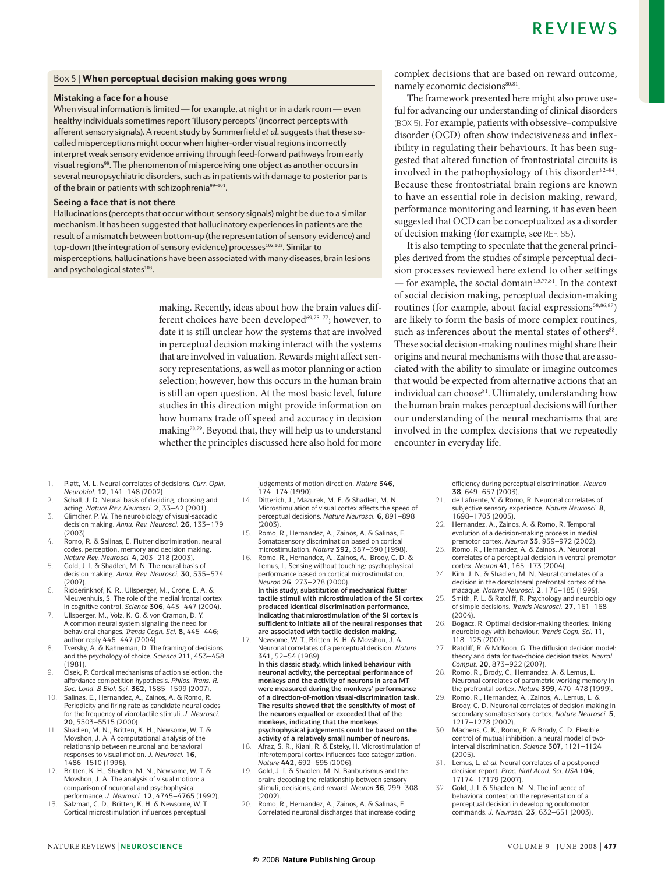### Box 5 | When perceptual decision making goes wrong

#### **Mistaking a face for a house**

When visual information is limited — for example, at night or in a dark room — even healthy individuals sometimes report 'illusory percepts' (incorrect percepts with afferent sensory signals). A recent study by Summerfield *et al.* suggests that these socalled misperceptions might occur when higher-order visual regions incorrectly interpret weak sensory evidence arriving through feed-forward pathways from early visual regions<sup>98</sup>. The phenomenon of misperceiving one object as another occurs in several neuropsychiatric disorders, such as in patients with damage to posterior parts of the brain or patients with schizophrenia<sup>99-101</sup>.

#### **Seeing a face that is not there**

Hallucinations (percepts that occur without sensory signals) might be due to a similar mechanism. It has been suggested that hallucinatory experiences in patients are the result of a mismatch between bottom-up (the representation of sensory evidence) and top-down (the integration of sensory evidence) processes<sup>102,103</sup>. Similar to misperceptions, hallucinations have been associated with many diseases, brain lesions and psychological states<sup>103</sup>.

> making. Recently, ideas about how the brain values different choices have been developed<sup>69,75-77</sup>; however, to date it is still unclear how the systems that are involved in perceptual decision making interact with the systems that are involved in valuation. Rewards might affect sensory representations, as well as motor planning or action selection; however, how this occurs in the human brain is still an open question. At the most basic level, future studies in this direction might provide information on how humans trade off speed and accuracy in decision making78,79. Beyond that, they will help us to understand whether the principles discussed here also hold for more

complex decisions that are based on reward outcome, namely economic decisions<sup>80,81</sup>.

The framework presented here might also prove useful for advancing our understanding of clinical disorders (BOX 5). For example, patients with obsessive–compulsive disorder (OCD) often show indecisiveness and inflexibility in regulating their behaviours. It has been suggested that altered function of frontostriatal circuits is involved in the pathophysiology of this disorder<sup>82-84</sup>. Because these frontostriatal brain regions are known to have an essential role in decision making, reward, performance monitoring and learning, it has even been suggested that OCD can be conceptualized as a disorder of decision making (for example, see REF. 85).

It is also tempting to speculate that the general principles derived from the studies of simple perceptual decision processes reviewed here extend to other settings — for example, the social domain<sup>1,5,77,81</sup>. In the context of social decision making, perceptual decision-making routines (for example, about facial expressions<sup>58,86,87</sup>) are likely to form the basis of more complex routines, such as inferences about the mental states of others<sup>88</sup>. These social decision-making routines might share their origins and neural mechanisms with those that are associated with the ability to simulate or imagine outcomes that would be expected from alternative actions that an individual can choose<sup>81</sup>. Ultimately, understanding how the human brain makes perceptual decisions will further our understanding of the neural mechanisms that are involved in the complex decisions that we repeatedly encounter in everyday life.

- 1. Platt, M. L. Neural correlates of decisions. *Curr. Opin. Neurobiol.* **12**, 141–148 (2002).
- 2. Schall, J. D. Neural basis of deciding, choosing and acting. *Nature Rev. Neurosci.* **2**, 33–42 (2001). 3. Glimcher, P. W. The neurobiology of visual-saccadic
- decision making. *Annu. Rev. Neurosci.* **26**, 133–179 (2003). 4. Romo, R. & Salinas, E. Flutter discrimination: neural
- codes, perception, memory and decision making. *Nature Rev. Neurosci.* **4**, 203–218 (2003).
- 5. Gold, J. I. & Shadlen, M. N. The neural basis of decision making. *Annu. Rev. Neurosci.* **30**, 535–574 (2007).
- 6. Ridderinkhof, K. R., Ullsperger, M., Crone, E. A. & Nieuwenhuis, S. The role of the medial frontal cortex in cognitive control. *Science* **306**, 443–447 (2004).
- 7. Ullsperger, M., Volz, K. G. & von Cramon, D. Y. A common neural system signaling the need for behavioral changes. *Trends Cogn. Sci.* **8**, 445–446; author reply 446–447 (2004).
- 8. Tversky, A. & Kahneman, D. The framing of decisions and the psychology of choice. *Science* **211**, 453–458 (1981).
- 9. Cisek, P. Cortical mechanisms of action selection: the affordance competition hypothesis. *Philos. Trans. R. Soc. Lond. B Biol. Sci.* **362**, 1585–1599 (2007).
- 10. Salinas, E., Hernandez, A., Zainos, A. & Romo, R. Periodicity and firing rate as candidate neural codes for the frequency of vibrotactile stimuli. *J. Neurosci.* **20**, 5503–5515 (2000).
- 11. Shadlen, M. N., Britten, K. H., Newsome, W. T. & Movshon, J. A. A computational analysis of the relationship between neuronal and behavioral responses to visual motion. *J. Neurosci.* **16**, 1486–1510 (1996).
- 12. Britten, K. H., Shadlen, M. N., Newsome, W. T. & Movshon, J. A. The analysis of visual motion: a comparison of neuronal and psychophysical performance. *J. Neurosci.* **12**, 4745–4765 (1992). 13. Salzman, C. D., Britten, K. H. & Newsome, W. T.
- Cortical microstimulation influences perceptual

judgements of motion direction. *Nature* **346**, 174–174 (1990).

- 14. Ditterich, J., Mazurek, M. E. & Shadlen, M. N. Microstimulation of visual cortex affects the speed of perceptual decisions. *Nature Neurosci.* **6**, 891–898 (2003).
- 15. Romo, R., Hernandez, A., Zainos, A. & Salinas, E. Somatosensory discrimination based on cortical microstimulation. *Nature* **392**, 387–390 (1998).
- 16. Romo, R., Hernandez, A., Zainos, A., Brody, C. D. & Lemus, L. Sensing without touching: psychophysical performance based on cortical microstimulation. *Neuron* **26**, 273–278 (2000). **In this study, substitution of mechanical flutter tactile stimuli with microstimulation of the SI cortex produced identical discrimination performance, indicating that microstimulation of the SI cortex is sufficient to initiate all of the neural responses that are associated with tactile decision making.**
- 17. Newsome, W. T., Britten, K. H. & Movshon, J. A. Neuronal correlates of a perceptual decision. *Nature* **341**, 52–54 (1989). **In this classic study, which linked behaviour with neuronal activity, the perceptual performance of monkeys and the activity of neurons in area MT were measured during the monkeys' performance of a direction-of-motion visual-discrimination task. The results showed that the sensitivity of most of the neurons equalled or exceeded that of the monkeys, indicating that the monkeys' psychophysical judgements could be based on the activity of a relatively small number of neurons.**
- 18. Afraz, S. R., Kiani, R. & Esteky, H. Microstimulation of inferotemporal cortex influences face categorization. *Nature* **442**, 692–695 (2006).
- 19. Gold, J. I. & Shadlen, M. N. Banburismus and the brain: decoding the relationship between sensory stimuli, decisions, and reward. *Neuron* **36**, 299–308 (2002).
- 20. Romo, R., Hernandez, A., Zainos, A. & Salinas, E. Correlated neuronal discharges that increase coding

efficiency during perceptual discrimination. *Neuron* **38**, 649–657 (2003).

- 21. de Lafuente, V. & Romo, R. Neuronal correlates of subjective sensory experience. *Nature Neurosci.* **8**, 1698–1703 (2005).
- 22. Hernandez, A., Zainos, A. & Romo, R. Temporal evolution of a decision-making process in medial premotor cortex. *Neuron* **33**, 959–972 (2002).
- 23. Romo, R., Hernandez, A. & Zainos, A. Neuronal correlates of a perceptual decision in ventral premotor cortex. *Neuron* **41**, 165–173 (2004).
- 24. Kim, J. N. & Shadlen, M. N. Neural correlates of a decision in the dorsolateral prefrontal cortex of the macaque. *Nature Neurosci.* **2**, 176–185 (1999).
- 25. Smith, P. L. & Ratcliff, R. Psychology and neurobiology of simple decisions. *Trends Neurosci.* **27**, 161–168 (2004).
- 26. Bogacz, R. Optimal decision-making theories: linking neurobiology with behaviour. *Trends Cogn. Sci.* **11**, 118–125 (2007).
- 27. Ratcliff, R. & McKoon, G. The diffusion decision model: theory and data for two-choice decision tasks. *Neural Comput.* **20**, 873–922 (2007).
- 28. Romo, R., Brody, C., Hernandez, A. & Lemus, L. Neuronal correlates of parametric working memory in the prefrontal cortex. *Nature* **399**, 470–478 (1999).
- 29. Romo, R., Hernandez, A., Zainos, A., Lemus, L. & Brody, C. D. Neuronal correlates of decision-making in secondary somatosensory cortex. *Nature Neurosci.* **5**, 1217–1278 (2002).
- 30. Machens, C. K., Romo, R. & Brody, C. D. Flexible control of mutual inhibition: a neural model of twointerval discrimination. *Science* **307**, 1121–1124 (2005).
- 31. Lemus, L. *et al.* Neural correlates of a postponed decision report. *Proc. Natl Acad. Sci. USA* **104**, 17174–17179 (2007).
- 32. Gold, J. I. & Shadlen, M. N. The influence of behavioral context on the representation of a perceptual decision in developing oculomotor commands. *J. Neurosci.* **23**, 632–651 (2003).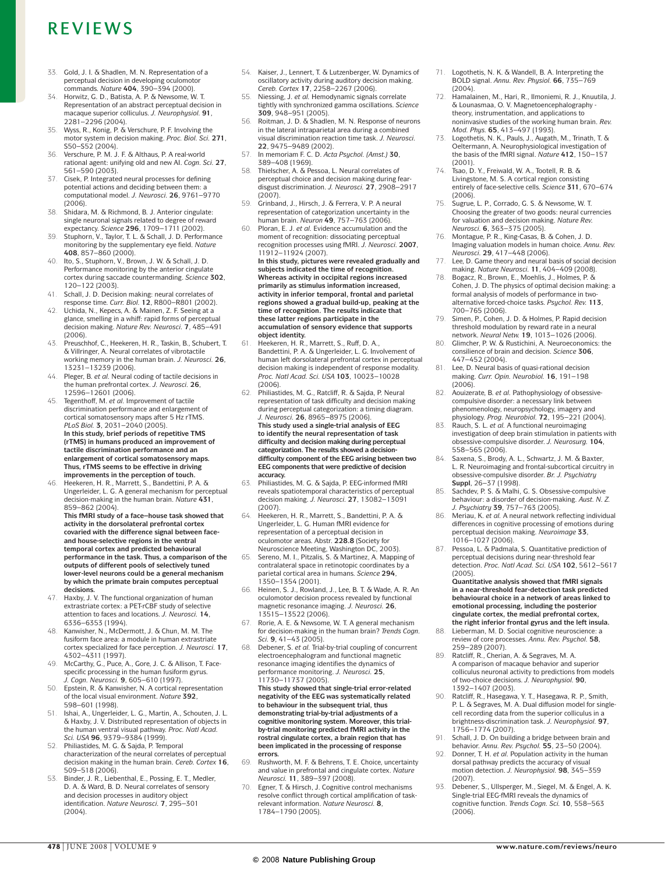- 33. Gold, J. I. & Shadlen, M. N. Representation of a perceptual decision in developing oculomotor
- commands. *Nature* **404**, 390–394 (2000). 34. Horwitz, G. D., Batista, A. P. & Newsome, W. T. Representation of an abstract perceptual decision in macaque superior colliculus. *J. Neurophysiol.* **91**, 2281–2296 (2004).
- 35. Wyss, R., Konig, P. & Verschure, P. F. Involving the motor system in decision making. *Proc. Biol. Sci.* **271**, S50–S52 (2004).
- 36. Verschure, P. M. J. F. & Althaus, P. A real-world rational agent: unifying old and new AI. *Cogn. Sci.* **27**, 561–590 (2003).
- 37. Cisek, P. Integrated neural processes for defining potential actions and deciding between them: a computational model. *J. Neurosci.* **26**, 9761–9770  $(2006)$
- 38. Shidara, M. & Richmond, B. J. Anterior cingulate: single neuronal signals related to degree of reward
- expectancy. *Science* **296**, 1709–1711 (2002). 39. Stuphorn, V., Taylor, T. L. & Schall, J. D. Performance monitoring by the supplementary eye field. *Nature* **408**, 857–860 (2000).
- 40. Ito, S., Stuphorn, V., Brown, J. W. & Schall, J. D. Performance monitoring by the anterior cingulate cortex during saccade countermanding. *Science* **302**, 120–122 (2003).
- 41. Schall, J. D. Decision making: neural correlates of response time. *Curr. Biol.* **12**, R800–R801 (2002).
- 42. Uchida, N., Kepecs, A. & Mainen, Z. F. Seeing at a glance, smelling in a whiff: rapid forms of perceptual decision making. *Nature Rev. Neurosci.* **7**, 485–491 (2006).
- Preuschhof, C., Heekeren, H. R., Taskin, B., Schubert, T. & Villringer, A. Neural correlates of vibrotactile working memory in the human brain. *J. Neurosci.* **26**, 13231–13239 (2006).
- 44. Pleger, B. *et al.* Neural coding of tactile decisions in the human prefrontal cortex. *J. Neurosci.* **26**, 12596–12601 (2006).
- 45. Tegenthoff, M. *et al.* Improvement of tactile discrimination performance and enlargement of cortical somatosensory maps after 5 Hz rTMS. *Plos Biol.* **3**, 2031–2040 (2005). **In this study, brief periods of repetitive TMS (rTMS) in humans produced an improvement of tactile discrimination performance and an enlargement of cortical somatosensory maps. Thus, rTMS seems to be effective in driving improvements in the perception of touch.**
- 46. Heekeren, H. R., Marrett, S., Bandettini, P. A. & Ungerleider, L. G. A general mechanism for perceptual decision-making in the human brain. *Nature* **431**, 859–862 (2004).

**This fMRI study of a face–house task showed that activity in the dorsolateral prefrontal cortex covaried with the difference signal between faceand house-selective regions in the ventral temporal cortex and predicted behavioural performance in the task. Thus, a comparison of the outputs of different pools of selectively tuned lower-level neurons could be a general mechanism by which the primate brain computes perceptual decisions.**

- 47. Haxby, J. V. The functional organization of human extrastriate cortex: a PET-rCBF study of selective attention to faces and locations. *J. Neurosci.* **14**, 6336–6353 (1994).
- 48. Kanwisher, N., McDermott, J. & Chun, M. M. The fusiform face area: a module in human extrastriate cortex specialized for face perception. *J. Neurosci.* **17**, 4302–4311 (1997).
- 49. McCarthy, G., Puce, A., Gore, J. C. & Allison, T. Facespecific processing in the human fusiform gyrus.
- *J. Cogn. Neurosci.* **9**, 605–610 (1997). 50. Epstein, R. & Kanwisher, N. A cortical representation of the local visual environment. *Nature* **392**, 598–601 (1998).
- 51. Ishai, A., Ungerleider, L. G., Martin, A., Schouten, J. L. & Haxby, J. V. Distributed representation of objects in the human ventral visual pathway. *Proc. Natl Acad. Sci. USA* **96**, 9379–9384 (1999).
- 52. Philiastides, M. G. & Sajda, P. Temporal characterization of the neural correlates of perceptual decision making in the human brain. *Cereb. Cortex* **16**, 509–518 (2006).
- 53. Binder, J. R., Liebenthal, E., Possing, E. T., Medler, D. A. & Ward, B. D. Neural correlates of sensory and decision processes in auditory object identification. *Nature Neurosci.* **7**, 295–301 (2004).
- 54. Kaiser, J., Lennert, T. & Lutzenberger, W. Dynamics of oscillatory activity during auditory decision making. *Cereb. Cortex* **17**, 2258–2267 (2006).
- 55. Niessing, J. *et al.* Hemodynamic signals correlate tightly with synchronized gamma oscillations. *Science* **309**, 948–951 (2005).
- 56. Roitman, J. D. & Shadlen, M. N. Response of neurons in the lateral intraparietal area during a combined visual discrimination reaction time task. *J. Neurosci.* **22**, 9475–9489 (2002).
- 57. In memoriam F. C. D. *Acta Psychol. (Amst.)* **30**, 389–408 (1969).
- 58. Thielscher, A. & Pessoa, L. Neural correlates of perceptual choice and decision making during feardisgust discrimination. *J. Neurosci.* **27**, 2908–2917 (2007).
- 59. Grinband, J., Hirsch, J. & Ferrera, V. P. A neural representation of categorization uncertainty in the human brain. *Neuron* **49**, 757–763 (2006).
- 60. Ploran, E. J. *et al.* Evidence accumulation and the moment of recognition: dissociating perceptual recognition processes using fMRI. *J. Neurosci.* **2007**, 11912–11924 (2007).

**In this study, pictures were revealed gradually and subjects indicated the time of recognition. Whereas activity in occipital regions increased primarily as stimulus information increased, activity in inferior temporal, frontal and parietal regions showed a gradual build-up, peaking at the time of recognition. The results indicate that these latter regions participate in the accumulation of sensory evidence that supports object identity.**

- Heekeren, H. R., Marrett, S., Ruff, D. A., Bandettini, P. A. & Ungerleider, L. G. Involvement of human left dorsolateral prefrontal cortex in perceptual decision making is independent of response modality. *Proc. Natl Acad. Sci. USA* **103**, 10023–10028 (2006).
- Philiastides, M. G., Ratcliff, R. & Sajda, P. Neural representation of task difficulty and decision making during perceptual categorization: a timing diagram. *J. Neurosci.* **26**, 8965–8975 (2006). **This study used a single-trial analysis of EEG to identify the neural representation of task difficulty and decision making during perceptual categorization. The results showed a decisiondifficulty component of the EEG arising between two EEG components that were predictive of decision accuracy.**
- 63. Philiastides, M. G. & Sajda, P. EEG-informed fMRI reveals spatiotemporal characteristics of perceptual decision making. *J. Neurosci.* **27**, 13082–13091 (2007).
- 64. Heekeren, H. R., Marrett, S., Bandettini, P. A. & Ungerleider, L. G. Human fMRI evidence for representation of a perceptual decision in oculomotor areas. Abstr. **228.8** (Society for
- Neuroscience Meeting, Washington DC, 2003). 65. Sereno, M. I., Pitzalis, S. & Martinez, A. Mapping of contralateral space in retinotopic coordinates by a parietal cortical area in humans. *Science* **294**, 1350–1354 (2001).
- 66. Heinen, S. J., Rowland, J., Lee, B. T. & Wade, A. R. An oculomotor decision process revealed by functional magnetic resonance imaging. *J. Neurosci.* **26**, 13515–13522 (2006).
- Rorie, A. E. & Newsome, W. T. A general mechanism for decision-making in the human brain? *Trends Cogn. Sci.* **9**, 41–43 (2005).
- 68. Debener, S. *et al.* Trial-by-trial coupling of concurrent electroencephalogram and functional magnetic resonance imaging identifies the dynamics of performance monitoring. *J. Neurosci.* **25**, 11730–11737 (2005). **This study showed that single-trial error-related negativity of the EEG was systematically related to behaviour in the subsequent trial, thus demonstrating trial-by-trial adjustments of a cognitive monitoring system. Moreover, this trial-by-trial monitoring predicted fMRI activity in the rostral cingulate cortex, a brain region that has been implicated in the processing of response errors.**
- 69. Rushworth, M. F. & Behrens, T. E. Choice, uncertainty and value in prefrontal and cingulate cortex. *Nature Neurosci.* **11**, 389–397 (2008).
- 70. Egner, T. & Hirsch, J. Cognitive control mechanisms resolve conflict through cortical amplification of taskrelevant information. *Nature Neurosci.* **8**, 1784–1790 (2005).
- 71. Logothetis, N. K. & Wandell, B. A. Interpreting the BOLD signal. *Annu. Rev. Physiol.* **66**, 735–769 (2004).
- 72. Hamalainen, M., Hari, R., Ilmoniemi, R. J., Knuutila, J. & Lounasmaa, O. V. Magnetoencephalography theory, instrumentation, and applications to noninvasive studies of the working human brain. *Rev. Mod. Phys.* **65**, 413–497 (1993).
- Logothetis, N. K., Pauls, J., Augath, M., Trinath, T. & Oeltermann, A. Neurophysiological investigation of the basis of the fMRI signal. *Nature* **412**, 150–157 (2001).
- 74. Tsao, D. Y., Freiwald, W. A., Tootell, R. B. & Livingstone, M. S. A cortical region consisting entirely of face-selective cells. *Science* **311**, 670–674 (2006).
- Sugrue, L. P., Corrado, G. S. & Newsome, W. T. Choosing the greater of two goods: neural currencies for valuation and decision making. *Nature Rev. Neurosci.* **6**, 363–375 (2005).
- 76. Montague, P. R., King-Casas, B. & Cohen, J. D. Imaging valuation models in human choice. *Annu. Rev. Neurosci.* **29**, 417–448 (2006).
- Lee, D. Game theory and neural basis of social decision making. *Nature Neurosci.* **11**, 404–409 (2008).
- 78. Bogacz, R., Brown, E., Moehlis, J., Holmes, P. & Cohen, J. D. The physics of optimal decision making: a formal analysis of models of performance in twoalternative forced-choice tasks. *Psychol. Rev.* **113**, 700–765 (2006).
- 79. Simen, P., Cohen, J. D. & Holmes, P. Rapid decision threshold modulation by reward rate in a neural network. *Neural Netw.* **19**, 1013–1026 (2006).
- 80. Glimcher, P. W. & Rustichini, A. Neuroeconomics: the consilience of brain and decision. *Science* **306**, 447–452 (2004).
- 81. Lee, D. Neural basis of quasi-rational decision making. *Curr. Opin. Neurobiol.* **16**, 191–198 (2006).
- 82. Aouizerate, B. *et al.* Pathophysiology of obsessivecompulsive disorder: a necessary link between phenomenology, neuropsychology, imagery and physiology. *Prog. Neurobiol.* **72**, 195–221 (2004).
- 83. Rauch, S. L. *et al.* A functional neuroimaging investigation of deep brain stimulation in patients with obsessive-compulsive disorder. *J. Neurosurg.* **104**, 558–565 (2006).
- 84. Saxena, S., Brody, A. L., Schwartz, J. M. & Baxter, L. R. Neuroimaging and frontal-subcortical circuitry in obsessive-compulsive disorder. *Br. J. Psychiatry* **Suppl**, 26–37 (1998).
- 85. Sachdev, P. S. & Malhi, G. S. Obsessive-compulsive behaviour: a disorder of decision-making. *Aust. N. Z. J. Psychiatry* **39**, 757–763 (2005).
- 86. Meriau, K. *et al.* A neural network reflecting individual differences in cognitive processing of emotions during perceptual decision making. *Neuroimage* **33**,
- 1016–1027 (2006). 87. Pessoa, L. & Padmala, S. Quantitative prediction of perceptual decisions during near-threshold fear detection. *Proc. Natl Acad. Sci. USA* **102**, 5612–5617 (2005).

**Quantitative analysis showed that fMRI signals in a near-threshold fear-detection task predicted behavioural choice in a network of areas linked to emotional processing, including the posterior cingulate cortex, the medial prefrontal cortex,** 

- **the right inferior frontal gyrus and the left insula.** 88. Lieberman, M. D. Social cognitive neuroscience: a review of core processes. *Annu. Rev. Psychol.* **58**, 259–289 (2007).
- Ratcliff, R., Cherian, A. & Segraves, M. A. A comparison of macaque behavior and superior colliculus neuronal activity to predictions from models of two-choice decisions. *J. Neurophysiol.* **90**, 1392–1407 (2003).
- Ratcliff, R., Hasegawa, Y. T., Hasegawa, R. P., Smith, P. L. & Segraves, M. A. Dual diffusion model for singlecell recording data from the superior colliculus in a brightness-discrimination task. *J. Neurophysiol.* **97**, 1756–1774 (2007).
- 91. Schall, J. D. On building a bridge between brain and behavior. *Annu. Rev. Psychol.* **55**, 23–50 (2004).
- 92. Donner, T. H. *et al.* Population activity in the human dorsal pathway predicts the accuracy of visual motion detection. *J. Neurophysiol.* **98**, 345–359 (2007).
- 93. Debener, S., Ullsperger, M., Siegel, M. & Engel, A. K. Single-trial EEG-fMRI reveals the dynamics of cognitive function. *Trends Cogn. Sci.* **10**, 558–563 (2006).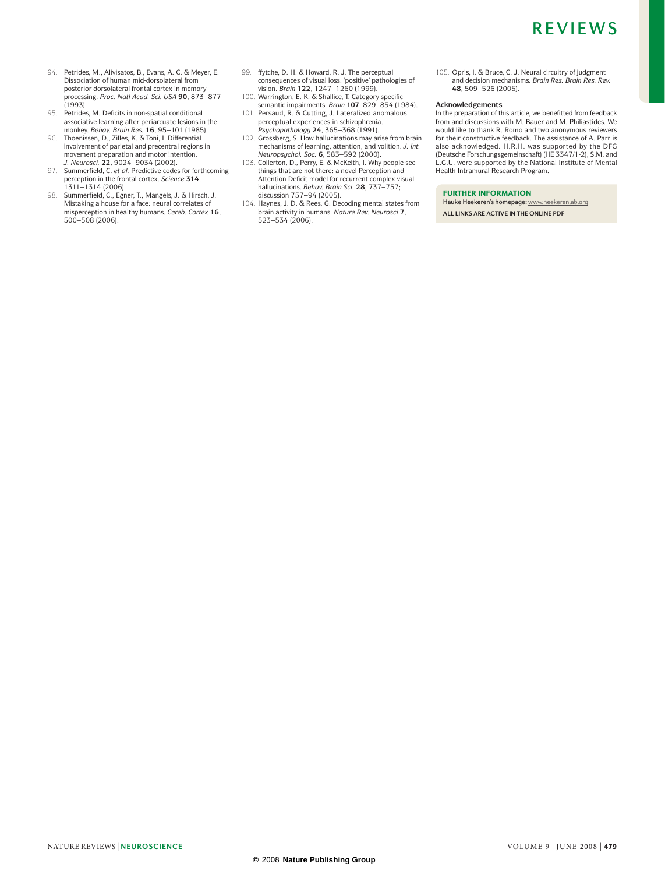- 94. Petrides, M., Alivisatos, B., Evans, A. C. & Meyer, E. Dissociation of human mid-dorsolateral from posterior dorsolateral frontal cortex in memory processing. *Proc. Natl Acad. Sci. USA* **90**, 873–877 (1993).
- 95. Petrides, M. Deficits in non-spatial conditional associative learning after periarcuate lesions in the
- monkey. *Behav. Brain Res.* **16**, 95–101 (1985). 96. Thoenissen, D., Zilles, K. & Toni, I. Differential involvement of parietal and precentral regions in movement preparation and motor intention. *J. Neurosci.* **22**, 9024–9034 (2002).
- 97. Summerfield, C. *et al.* Predictive codes for forthcoming perception in the frontal cortex. *Science* **314**, 1311–1314 (2006).
- 98. Summerfield, C., Egner, T., Mangels, J. & Hirsch, J. Mistaking a house for a face: neural correlates of misperception in healthy humans. *Cereb. Cortex* **16**, 500–508 (2006).
- 99. ffytche, D. H. & Howard, R. J. The perceptual consequences of visual loss: 'positive' pathologies of vision. *Brain* **122**, 1247–1260 (1999). 100. Warrington, E. K. & Shallice, T. Category specific
- semantic impairments. *Brain* **107**, 829–854 (1984). 101. Persaud, R. & Cutting, J. Lateralized anomalous perceptual experiences in schizophrenia.
- *Psychopathology* **24**, 365–368 (1991). 102. Grossberg, S. How hallucinations may arise from brain mechanisms of learning, attention, and volition. *J. Int. Neuropsychol. Soc.* **6**, 583–592 (2000).
- 103. Collerton, D., Perry, E. & McKeith, I. Why people see things that are not there: a novel Perception and Attention Deficit model for recurrent complex visual hallucinations. *Behav. Brain Sci.* **28**, 737–757; discussion 757–94 (2005).
- 104. Haynes, J. D. & Rees, G. Decoding mental states from brain activity in humans. *Nature Rev. Neurosci* **7**, 523–534 (2006).

105. Opris, I. & Bruce, C. J. Neural circuitry of judgment and decision mechanisms. *Brain Res. Brain Res. Rev.* **48**, 509–526 (2005).

#### **Acknowledgements**

In the preparation of this article, we benefitted from feedback from and discussions with M. Bauer and M. Philiastides. We would like to thank R. Romo and two anonymous reviewers for their constructive feedback. The assistance of A. Parr is also acknowledged. H.R.H. was supported by the DFG (Deutsche Forschungsgemeinschaft) (HE 3347/1-2); S.M. and L.G.U. were supported by the National Institute of Mental Health Intramural Research Program.

#### FURTHER INFORMATION

Hauke Heekeren's homepage: [www.heekerenlab.org](http://www.heekerenlab.org)

**All links are active in the online pdf**